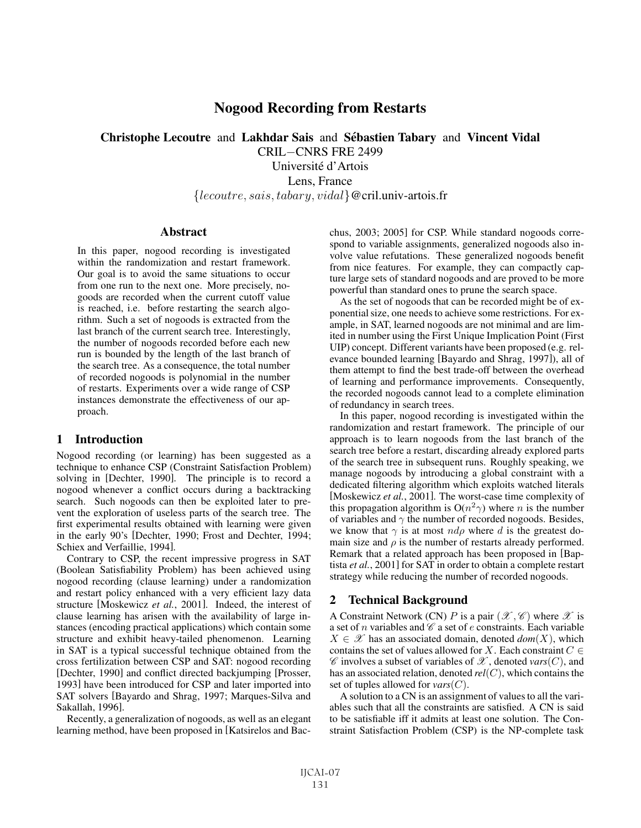# Nogood Recording from Restarts

Christophe Lecoutre and Lakhdar Sais and Sébastien Tabary and Vincent Vidal

CRIL−CNRS FRE 2499

Université d'Artois Lens, France {lecoutre, sais, tabary, vidal}@cril.univ-artois.fr

#### **Abstract**

In this paper, nogood recording is investigated within the randomization and restart framework. Our goal is to avoid the same situations to occur from one run to the next one. More precisely, nogoods are recorded when the current cutoff value is reached, i.e. before restarting the search algorithm. Such a set of nogoods is extracted from the last branch of the current search tree. Interestingly, the number of nogoods recorded before each new run is bounded by the length of the last branch of the search tree. As a consequence, the total number of recorded nogoods is polynomial in the number of restarts. Experiments over a wide range of CSP instances demonstrate the effectiveness of our approach.

# 1 Introduction

Nogood recording (or learning) has been suggested as a technique to enhance CSP (Constraint Satisfaction Problem) solving in [Dechter, 1990]. The principle is to record a nogood whenever a conflict occurs during a backtracking search. Such nogoods can then be exploited later to prevent the exploration of useless parts of the search tree. The first experimental results obtained with learning were given in the early 90's [Dechter, 1990; Frost and Dechter, 1994; Schiex and Verfaillie, 1994].

Contrary to CSP, the recent impressive progress in SAT (Boolean Satisfiability Problem) has been achieved using nogood recording (clause learning) under a randomization and restart policy enhanced with a very efficient lazy data structure [Moskewicz *et al.*, 2001]. Indeed, the interest of clause learning has arisen with the availability of large instances (encoding practical applications) which contain some structure and exhibit heavy-tailed phenomenon. Learning in SAT is a typical successful technique obtained from the cross fertilization between CSP and SAT: nogood recording [Dechter, 1990] and conflict directed backjumping [Prosser, 1993] have been introduced for CSP and later imported into SAT solvers [Bayardo and Shrag, 1997; Marques-Silva and Sakallah, 1996].

Recently, a generalization of nogoods, as well as an elegant learning method, have been proposed in [Katsirelos and Bacchus, 2003; 2005] for CSP. While standard nogoods correspond to variable assignments, generalized nogoods also involve value refutations. These generalized nogoods benefit from nice features. For example, they can compactly capture large sets of standard nogoods and are proved to be more powerful than standard ones to prune the search space.

As the set of nogoods that can be recorded might be of exponential size, one needs to achieve some restrictions. For example, in SAT, learned nogoods are not minimal and are limited in number using the First Unique Implication Point (First UIP) concept. Different variants have been proposed (e.g. relevance bounded learning [Bayardo and Shrag, 1997]), all of them attempt to find the best trade-off between the overhead of learning and performance improvements. Consequently, the recorded nogoods cannot lead to a complete elimination of redundancy in search trees.

In this paper, nogood recording is investigated within the randomization and restart framework. The principle of our approach is to learn nogoods from the last branch of the search tree before a restart, discarding already explored parts of the search tree in subsequent runs. Roughly speaking, we manage nogoods by introducing a global constraint with a dedicated filtering algorithm which exploits watched literals [Moskewicz *et al.*, 2001]. The worst-case time complexity of this propagation algorithm is  $O(n^2\gamma)$  where *n* is the number of variables and  $\gamma$  the number of recorded nogoods. Besides, we know that  $\gamma$  is at most  $nd\rho$  where d is the greatest domain size and  $\rho$  is the number of restarts already performed. Remark that a related approach has been proposed in [Baptista *et al.*, 2001] for SAT in order to obtain a complete restart strategy while reducing the number of recorded nogoods.

# 2 Technical Background

A Constraint Network (CN) P is a pair  $(\mathscr{X}, \mathscr{C})$  where  $\mathscr{X}$  is a set of n variables and  $\mathscr C$  a set of e constraints. Each variable  $X \in \mathcal{X}$  has an associated domain, denoted  $dom(X)$ , which contains the set of values allowed for X. Each constraint  $C \in$  $\mathscr C$  involves a subset of variables of  $\mathscr X$ , denoted *vars*(C), and has an associated relation, denoted *rel*(C), which contains the set of tuples allowed for *vars*(C).

A solution to a CN is an assignment of values to all the variables such that all the constraints are satisfied. A CN is said to be satisfiable iff it admits at least one solution. The Constraint Satisfaction Problem (CSP) is the NP-complete task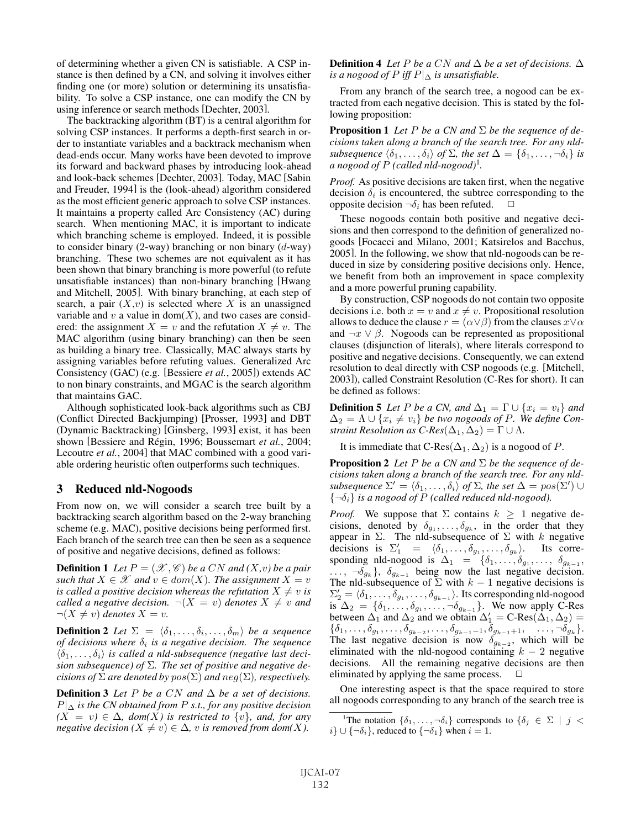of determining whether a given CN is satisfiable. A CSP instance is then defined by a CN, and solving it involves either finding one (or more) solution or determining its unsatisfiability. To solve a CSP instance, one can modify the CN by using inference or search methods [Dechter, 2003].

The backtracking algorithm (BT) is a central algorithm for solving CSP instances. It performs a depth-first search in order to instantiate variables and a backtrack mechanism when dead-ends occur. Many works have been devoted to improve its forward and backward phases by introducing look-ahead and look-back schemes [Dechter, 2003]. Today, MAC [Sabin and Freuder, 1994] is the (look-ahead) algorithm considered as the most efficient generic approach to solve CSP instances. It maintains a property called Arc Consistency (AC) during search. When mentioning MAC, it is important to indicate which branching scheme is employed. Indeed, it is possible to consider binary  $(2$ -way) branching or non binary  $(d$ -way) branching. These two schemes are not equivalent as it has been shown that binary branching is more powerful (to refute unsatisfiable instances) than non-binary branching [Hwang and Mitchell, 2005]. With binary branching, at each step of search, a pair  $(X, v)$  is selected where X is an unassigned variable and  $v$  a value in dom $(X)$ , and two cases are considered: the assignment  $X = v$  and the refutation  $X \neq v$ . The MAC algorithm (using binary branching) can then be seen as building a binary tree. Classically, MAC always starts by assigning variables before refuting values. Generalized Arc Consistency (GAC) (e.g. [Bessiere *et al.*, 2005]) extends AC to non binary constraints, and MGAC is the search algorithm that maintains GAC.

Although sophisticated look-back algorithms such as CBJ (Conflict Directed Backjumping) [Prosser, 1993] and DBT (Dynamic Backtracking) [Ginsberg, 1993] exist, it has been shown [Bessiere and Régin, 1996; Boussemart et al., 2004; Lecoutre *et al.*, 2004] that MAC combined with a good variable ordering heuristic often outperforms such techniques.

# 3 Reduced nld-Nogoods

From now on, we will consider a search tree built by a backtracking search algorithm based on the 2-way branching scheme (e.g. MAC), positive decisions being performed first. Each branch of the search tree can then be seen as a sequence of positive and negative decisions, defined as follows:

**Definition 1** Let  $P = (\mathcal{X}, \mathcal{C})$  be a CN and  $(X, v)$  be a pair *such that*  $X \in \mathcal{X}$  *and*  $v \in dom(X)$ *. The assignment*  $X = v$ *is called a positive decision whereas the refutation*  $X \neq v$  *is called a negative decision.*  $\neg(X = v)$  *denotes*  $X \neq v$  *and*  $\neg(X \neq v)$  *denotes*  $X = v$ .

**Definition 2** Let  $\Sigma = \langle \delta_1, \ldots, \delta_i, \ldots, \delta_m \rangle$  be a sequence *of decisions where*  $\delta_i$  *is a negative decision. The sequence*  $\langle \delta_1, \ldots, \delta_i \rangle$  *is called a nld-subsequence (negative last decision subsequence) of* Σ*. The set of positive and negative decisions of*  $\Sigma$  *are denoted by*  $pos(\Sigma)$  *and*  $neg(\Sigma)$ *, respectively.* 

**Definition 3** Let P be a CN and  $\Delta$  be a set of decisions.  $P|_{\Delta}$  *is the CN obtained from P s.t., for any positive decision*  $(X = v) \in \Delta$ *, dom* $(X)$  *is restricted to*  $\{v\}$ *, and, for any negative decision*  $(X \neq v) \in \Delta$ *, v is removed from dom* $(X)$ *.* 

**Definition 4** *Let P be a CN and*  $\Delta$  *be a set of decisions.*  $\Delta$ *is a nogood of*  $P$  *iff*  $P|_{\Delta}$  *is unsatisfiable.* 

From any branch of the search tree, a nogood can be extracted from each negative decision. This is stated by the following proposition:

**Proposition 1** Let P be a CN and  $\Sigma$  be the sequence of de*cisions taken along a branch of the search tree. For any nldsubsequence*  $\langle \delta_1, \ldots, \delta_i \rangle$  *of*  $\Sigma$ *, the set*  $\Delta = \{ \delta_1, \ldots, \neg \delta_i \}$  *is a nogood of* P *(called nld-nogood)*<sup>1</sup> *.*

*Proof.* As positive decisions are taken first, when the negative decision  $\delta_i$  is encountered, the subtree corresponding to the opposite decision  $\neg \delta_i$  has been refuted.  $\Box$ 

These nogoods contain both positive and negative decisions and then correspond to the definition of generalized nogoods [Focacci and Milano, 2001; Katsirelos and Bacchus, 2005]. In the following, we show that nld-nogoods can be reduced in size by considering positive decisions only. Hence, we benefit from both an improvement in space complexity and a more powerful pruning capability.

By construction, CSP nogoods do not contain two opposite decisions i.e. both  $x = v$  and  $x \neq v$ . Propositional resolution allows to deduce the clause  $r = (\alpha \vee \beta)$  from the clauses  $x \vee \alpha$ and  $\neg x \lor \beta$ . Nogoods can be represented as propositional clauses (disjunction of literals), where literals correspond to positive and negative decisions. Consequently, we can extend resolution to deal directly with CSP nogoods (e.g. [Mitchell, 2003]), called Constraint Resolution (C-Res for short). It can be defined as follows:

**Definition 5** Let P be a CN, and  $\Delta_1 = \Gamma \cup \{x_i = v_i\}$  and  $\Delta_2 = \Lambda \cup \{x_i \neq v_i\}$  *be two nogoods of P.* We define Con*straint Resolution as C-Res* $(\Delta_1, \Delta_2) = \Gamma \cup \Lambda$ *.* 

It is immediate that C-Res $(\Delta_1, \Delta_2)$  is a nogood of P.

**Proposition 2** Let P be a CN and  $\Sigma$  be the sequence of de*cisions taken along a branch of the search tree. For any nld* $subsequence \ \Sigma' = \langle \delta_1, \ldots, \delta_i \rangle \ of \ \Sigma$ , the set  $\Delta = pos(\Sigma') \cup$  $\{\neg \delta_i\}$  *is a nogood of* P (called reduced nld-nogood).

*Proof.* We suppose that  $\Sigma$  contains  $k \geq 1$  negative decisions, denoted by  $\delta_{g_1}, \ldots, \delta_{g_k}$ , in the order that they appear in  $\Sigma$ . The nld-subsequence of  $\Sigma$  with k negative decisions is  $\Sigma_1' = \langle \delta_1, \ldots, \delta_{g_1}, \ldots, \delta_{g_k} \rangle$ . Its corresponding nld-nogood is  $\Delta_1 = \{\delta_1, \ldots, \delta_{g_1}, \ldots, \delta_{g_{k-1}},$ ...,  $\neg \delta_{g_k}$ ,  $\delta_{g_{k-1}}$  being now the last negative decision. The nld-subsequence of  $\Sigma$  with  $k - 1$  negative decisions is  $\Sigma_2' = \langle \delta_1, \ldots, \delta_{g_1}, \ldots, \delta_{g_{k-1}} \rangle$ . Its corresponding nld-nogood is  $\Delta_2 = \{\delta_1, \ldots, \delta_{g_1}, \ldots, \neg \delta_{g_{k-1}}\}.$  We now apply C-Res between  $\Delta_1$  and  $\Delta_2$  and we obtain  $\Delta_1' = C$ -Res $(\Delta_1, \Delta_2)$  =  ${\delta_1, \ldots, \delta_{g_1}, \ldots, \delta_{g_{k-2}}, \ldots, \delta_{g_{k-1}-1}, \delta_{g_{k-1}+1}, \ldots, \neg \delta_{g_k} }.$ The last negative decision is now  $\delta_{g_{k-2}}$ , which will be eliminated with the nld-nogood containing  $k - 2$  negative decisions. All the remaining negative decisions are then eliminated by applying the same process.  $\Box$ 

One interesting aspect is that the space required to store all nogoods corresponding to any branch of the search tree is

<sup>&</sup>lt;sup>1</sup>The notation  $\{\delta_1,\ldots,\neg\delta_i\}$  corresponds to  $\{\delta_j \in \Sigma \mid j \prec j\}$  $i\} \cup \{\neg \delta_i\}$ , reduced to  $\{\neg \delta_1\}$  when  $i = 1$ .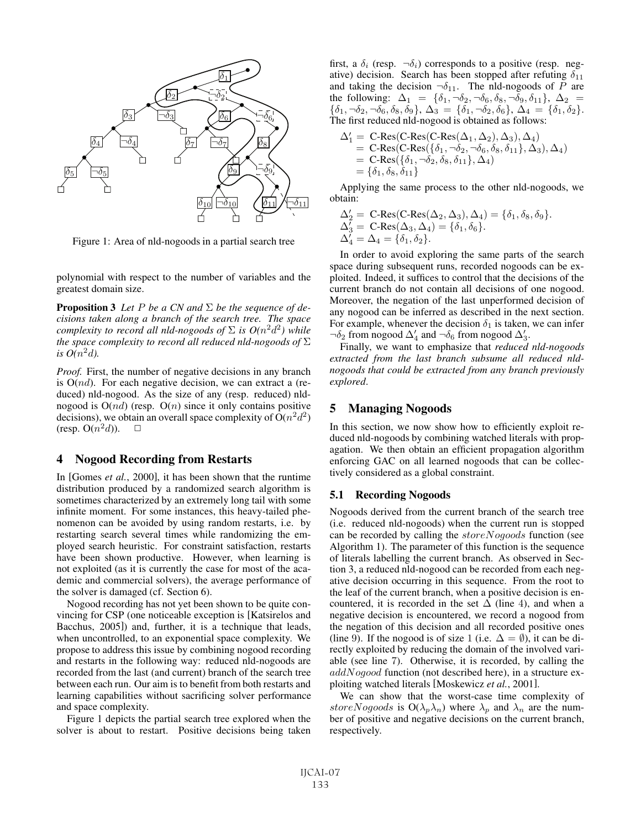

Figure 1: Area of nld-nogoods in a partial search tree

polynomial with respect to the number of variables and the greatest domain size.

**Proposition 3** Let P be a CN and  $\Sigma$  be the sequence of de*cisions taken along a branch of the search tree. The space complexity to record all nld-nogoods of*  $\Sigma$  *is*  $O(n^2d^2)$  *while the space complexity to record all reduced nld-nogoods of* Σ is  $O(n^2d)$ .

*Proof.* First, the number of negative decisions in any branch is  $O(nd)$ . For each negative decision, we can extract a (reduced) nld-nogood. As the size of any (resp. reduced) nldnogood is  $O(nd)$  (resp.  $O(n)$  since it only contains positive decisions), we obtain an overall space complexity of  $O(n^2d^2)$ (resp.  $O(n^2d)$ ).  $\Box$ 

# 4 Nogood Recording from Restarts

In [Gomes *et al.*, 2000], it has been shown that the runtime distribution produced by a randomized search algorithm is sometimes characterized by an extremely long tail with some infinite moment. For some instances, this heavy-tailed phenomenon can be avoided by using random restarts, i.e. by restarting search several times while randomizing the employed search heuristic. For constraint satisfaction, restarts have been shown productive. However, when learning is not exploited (as it is currently the case for most of the academic and commercial solvers), the average performance of the solver is damaged (cf. Section 6).

Nogood recording has not yet been shown to be quite convincing for CSP (one noticeable exception is [Katsirelos and Bacchus, 2005]) and, further, it is a technique that leads, when uncontrolled, to an exponential space complexity. We propose to address this issue by combining nogood recording and restarts in the following way: reduced nld-nogoods are recorded from the last (and current) branch of the search tree between each run. Our aim is to benefit from both restarts and learning capabilities without sacrificing solver performance and space complexity.

Figure 1 depicts the partial search tree explored when the solver is about to restart. Positive decisions being taken first, a  $\delta_i$  (resp.  $\neg \delta_i$ ) corresponds to a positive (resp. negative) decision. Search has been stopped after refuting  $\delta_{11}$ and taking the decision  $\neg \delta_{11}$ . The nld-nogoods of P are the following:  $\Delta_1 = {\delta_1, \neg \delta_2, \neg \delta_6, \delta_8, \neg \delta_9, \delta_{11}}, \Delta_2 =$  ${\delta_1, \neg \delta_2, \neg \delta_6, \delta_8, \delta_9}, \Delta_3 = {\delta_1, \neg \delta_2, \delta_6}, \Delta_4 = {\delta_1, \delta_2}.$ The first reduced nld-nogood is obtained as follows:

$$
\begin{array}{ll} \Delta'_1 = \text{ C-Res}(\text{ C-Res}(\Delta_1, \Delta_2), \Delta_3), \Delta_4) \\ = \text{ C-Res}(\text{ C-Res}(\{\delta_1, \neg \delta_2, \neg \delta_6, \delta_8, \delta_{11}\}, \Delta_3), \Delta_4) \\ = \text{ C-Res}(\{\delta_1, \neg \delta_2, \delta_8, \delta_{11}\}, \Delta_4) \\ = \{\delta_1, \delta_8, \delta_{11}\} \end{array}
$$

Applying the same process to the other nld-nogoods, we obtain:

$$
\Delta_2' = \text{C-Res}(\text{C-Res}(\Delta_2, \Delta_3), \Delta_4) = \{\delta_1, \delta_8, \delta_9\}.
$$
  
\n
$$
\Delta_3' = \text{C-Res}(\Delta_3, \Delta_4) = \{\delta_1, \delta_6\}.
$$
  
\n
$$
\Delta_4' = \Delta_4 = \{\delta_1, \delta_2\}.
$$

In order to avoid exploring the same parts of the search space during subsequent runs, recorded nogoods can be exploited. Indeed, it suffices to control that the decisions of the current branch do not contain all decisions of one nogood. Moreover, the negation of the last unperformed decision of any nogood can be inferred as described in the next section. For example, whenever the decision  $\delta_1$  is taken, we can infer  $\neg \delta_2$  from nogood  $\Delta'_4$  and  $\neg \delta_6$  from nogood  $\Delta'_3$ .

Finally, we want to emphasize that *reduced nld-nogoods extracted from the last branch subsume all reduced nldnogoods that could be extracted from any branch previously explored*.

### 5 Managing Nogoods

In this section, we now show how to efficiently exploit reduced nld-nogoods by combining watched literals with propagation. We then obtain an efficient propagation algorithm enforcing GAC on all learned nogoods that can be collectively considered as a global constraint.

#### 5.1 Recording Nogoods

Nogoods derived from the current branch of the search tree (i.e. reduced nld-nogoods) when the current run is stopped can be recorded by calling the storeNogoods function (see Algorithm 1). The parameter of this function is the sequence of literals labelling the current branch. As observed in Section 3, a reduced nld-nogood can be recorded from each negative decision occurring in this sequence. From the root to the leaf of the current branch, when a positive decision is encountered, it is recorded in the set  $\Delta$  (line 4), and when a negative decision is encountered, we record a nogood from the negation of this decision and all recorded positive ones (line 9). If the nogood is of size 1 (i.e.  $\Delta = \emptyset$ ), it can be directly exploited by reducing the domain of the involved variable (see line 7). Otherwise, it is recorded, by calling the  $addNogood$  function (not described here), in a structure exploiting watched literals [Moskewicz *et al.*, 2001].

We can show that the worst-case time complexity of storeNogoods is  $O(\lambda_p \lambda_n)$  where  $\lambda_p$  and  $\lambda_n$  are the number of positive and negative decisions on the current branch, respectively.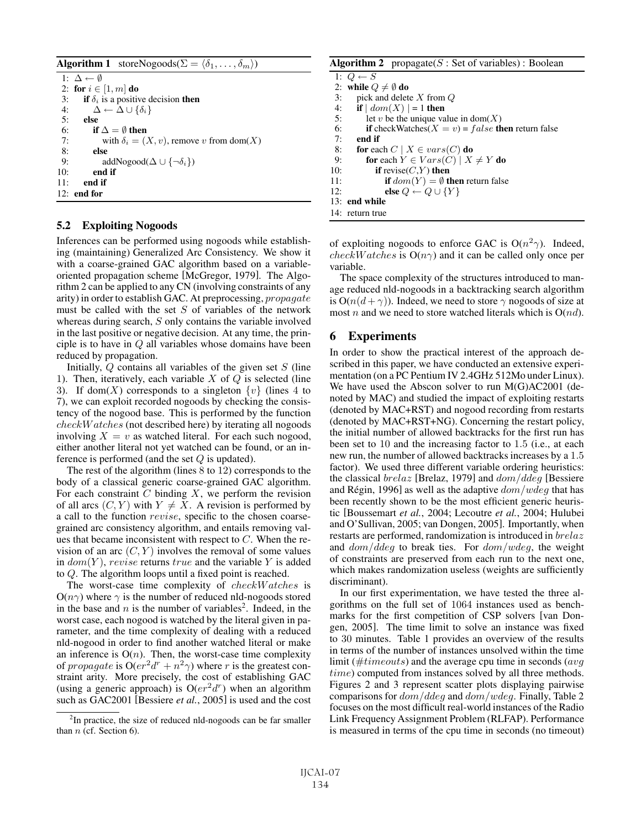```
Algorithm 1 storeNogoods(\Sigma = \langle \delta_1, \ldots, \delta_m \rangle)
 1: \Delta \leftarrow \emptyset2: for i \in [1, m] do<br>3: if \delta_i is a positiv
         if \delta_i is a positive decision then
 4: \Delta \leftarrow \Delta \cup \{\delta_i\}5: else
 6: if \Delta = \emptyset then
 7: with \delta_i = (X, v), remove v from dom(X)
 8: else
9: addNogood(\Delta \cup {\neg \delta_i})<br>10: end if
             end if
11: end if
12: end for
```
# 5.2 Exploiting Nogoods

Inferences can be performed using nogoods while establishing (maintaining) Generalized Arc Consistency. We show it with a coarse-grained GAC algorithm based on a variableoriented propagation scheme [McGregor, 1979]. The Algorithm 2 can be applied to any CN (involving constraints of any arity) in order to establish GAC. At preprocessing, propagate must be called with the set  $S$  of variables of the network whereas during search, S only contains the variable involved in the last positive or negative decision. At any time, the principle is to have in  $Q$  all variables whose domains have been reduced by propagation.

Initially,  $Q$  contains all variables of the given set  $S$  (line 1). Then, iteratively, each variable  $X$  of  $Q$  is selected (line 3). If dom(X) corresponds to a singleton  $\{v\}$  (lines 4 to 7), we can exploit recorded nogoods by checking the consistency of the nogood base. This is performed by the function checkW atches (not described here) by iterating all nogoods involving  $X = v$  as watched literal. For each such nogood, either another literal not yet watched can be found, or an inference is performed (and the set  $Q$  is updated).

The rest of the algorithm (lines 8 to 12) corresponds to the body of a classical generic coarse-grained GAC algorithm. For each constraint  $C$  binding  $X$ , we perform the revision of all arcs  $(C, Y)$  with  $Y \neq X$ . A revision is performed by a call to the function revise, specific to the chosen coarsegrained arc consistency algorithm, and entails removing values that became inconsistent with respect to  $C$ . When the revision of an arc  $(C, Y)$  involves the removal of some values in  $dom(Y)$ , revise returns true and the variable Y is added to Q. The algorithm loops until a fixed point is reached.

The worst-case time complexity of checkW atches is  $O(n\gamma)$  where  $\gamma$  is the number of reduced nld-nogoods stored in the base and n is the number of variables<sup>2</sup>. Indeed, in the worst case, each nogood is watched by the literal given in parameter, and the time complexity of dealing with a reduced nld-nogood in order to find another watched literal or make an inference is  $O(n)$ . Then, the worst-case time complexity of propagate is  $O(er^2d^r + n^2\gamma)$  where r is the greatest constraint arity. More precisely, the cost of establishing GAC (using a generic approach) is  $O(er^2d^r)$  when an algorithm such as GAC2001 [Bessiere *et al.*, 2005] is used and the cost

|     | <b>Algorithm 2</b> propagate( $S$ : Set of variables): Boolean     |
|-----|--------------------------------------------------------------------|
|     | 1: $Q \leftarrow S$                                                |
|     | 2: while $Q \neq \emptyset$ do                                     |
| 3:  | pick and delete $X$ from $Q$                                       |
| 4:  | if $  dom(X)  = 1$ then                                            |
| 5:  | let v be the unique value in dom $(X)$                             |
| 6:  | <b>if</b> checkWatches( $X = v$ ) = false <b>then</b> return false |
| 7:  | end if                                                             |
| 8:  | <b>for</b> each $C \mid X \in vars(C)$ <b>do</b>                   |
| 9:  | for each $Y \in Vars(C) \mid X \neq Y$ do                          |
| 10: | if revise $(C,Y)$ then                                             |
| 11: | <b>if</b> $dom(Y) = \emptyset$ then return false                   |
| 12: | else $Q \leftarrow Q \cup \{Y\}$                                   |
|     | 13: end while                                                      |
|     | 14: return true                                                    |

of exploiting nogoods to enforce GAC is  $O(n^2\gamma)$ . Indeed, *checkW atches* is  $O(n\gamma)$  and it can be called only once per variable.

The space complexity of the structures introduced to manage reduced nld-nogoods in a backtracking search algorithm is  $O(n(d + \gamma))$ . Indeed, we need to store  $\gamma$  nogoods of size at most n and we need to store watched literals which is  $O(nd)$ .

# 6 Experiments

In order to show the practical interest of the approach described in this paper, we have conducted an extensive experimentation (on a PC Pentium IV 2.4GHz 512Mo under Linux). We have used the Abscon solver to run M(G)AC2001 (denoted by MAC) and studied the impact of exploiting restarts (denoted by MAC+RST) and nogood recording from restarts (denoted by MAC+RST+NG). Concerning the restart policy, the initial number of allowed backtracks for the first run has been set to 10 and the increasing factor to 1.5 (i.e., at each new run, the number of allowed backtracks increases by a 1.5 factor). We used three different variable ordering heuristics: the classical  $breakz$  [Brelaz, 1979] and  $dom/ddeg$  [Bessiere and Régin, 1996] as well as the adaptive  $dom/wdeg$  that has been recently shown to be the most efficient generic heuristic [Boussemart *et al.*, 2004; Lecoutre *et al.*, 2004; Hulubei and O'Sullivan, 2005; van Dongen, 2005]. Importantly, when restarts are performed, randomization is introduced in brelaz and  $dom/deg$  to break ties. For  $dom/wdeg$ , the weight of constraints are preserved from each run to the next one, which makes randomization useless (weights are sufficiently discriminant).

In our first experimentation, we have tested the three algorithms on the full set of 1064 instances used as benchmarks for the first competition of CSP solvers [van Dongen, 2005]. The time limit to solve an instance was fixed to 30 minutes. Table 1 provides an overview of the results in terms of the number of instances unsolved within the time limit ( $\#timeouts$ ) and the average cpu time in seconds (avg time) computed from instances solved by all three methods. Figures 2 and 3 represent scatter plots displaying pairwise comparisons for dom/ddeg and dom/wdeg. Finally, Table 2 focuses on the most difficult real-world instances of the Radio Link Frequency Assignment Problem (RLFAP). Performance is measured in terms of the cpu time in seconds (no timeout)

<sup>&</sup>lt;sup>2</sup>In practice, the size of reduced nld-nogoods can be far smaller than  $n$  (cf. Section 6).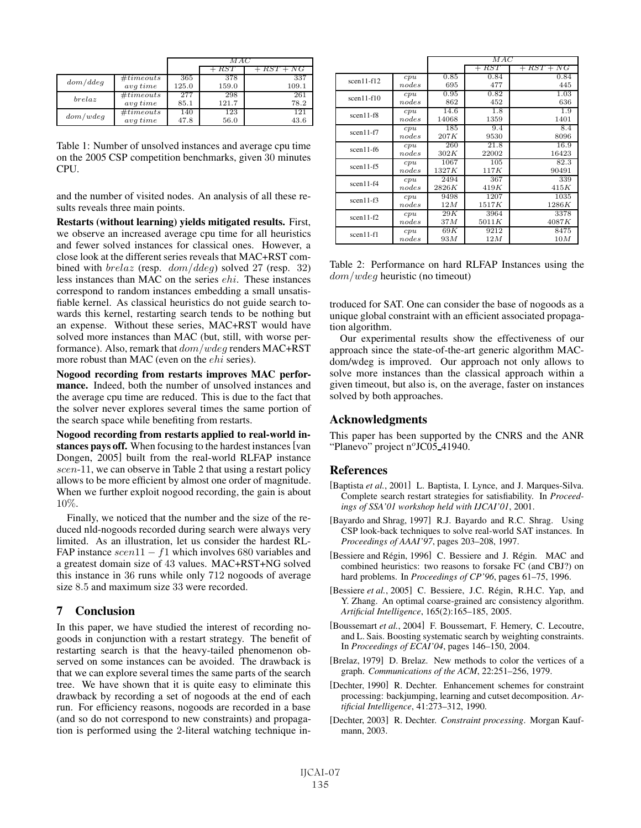|          |           | M AC  |       |              |
|----------|-----------|-------|-------|--------------|
|          |           |       | RST   | $+ RST + NG$ |
| dom/ddeg | #timeouts | 365   | 378   | 337          |
|          | avq time  | 125.0 | 159.0 | 109.1        |
| breakaz  | #timeouts | 277   | 298   | 261          |
|          | avq time  | 85.1  | 121.7 | 78.2         |
| dom/wdeg | #timeouts | 140   | 123   | 121          |
|          | avq time  | 47.8  | 56.0  | 43.6         |

Table 1: Number of unsolved instances and average cpu time on the 2005 CSP competition benchmarks, given 30 minutes CPU.

and the number of visited nodes. An analysis of all these results reveals three main points.

Restarts (without learning) yields mitigated results. First, we observe an increased average cpu time for all heuristics and fewer solved instances for classical ones. However, a close look at the different series reveals that MAC+RST combined with  $breakz$  (resp.  $dom/ddeg$ ) solved 27 (resp. 32) less instances than MAC on the series ehi. These instances correspond to random instances embedding a small unsatisfiable kernel. As classical heuristics do not guide search towards this kernel, restarting search tends to be nothing but an expense. Without these series, MAC+RST would have solved more instances than MAC (but, still, with worse performance). Also, remark that  $dom/wdeg$  renders MAC+RST more robust than MAC (even on the *ehi* series).

Nogood recording from restarts improves MAC performance. Indeed, both the number of unsolved instances and the average cpu time are reduced. This is due to the fact that the solver never explores several times the same portion of the search space while benefiting from restarts.

Nogood recording from restarts applied to real-world instances pays off. When focusing to the hardest instances [van Dongen, 2005] built from the real-world RLFAP instance scen-11, we can observe in Table 2 that using a restart policy allows to be more efficient by almost one order of magnitude. When we further exploit nogood recording, the gain is about 10%.

Finally, we noticed that the number and the size of the reduced nld-nogoods recorded during search were always very limited. As an illustration, let us consider the hardest RL-FAP instance  $\operatorname{scen}11 - f1$  which involves 680 variables and a greatest domain size of 43 values. MAC+RST+NG solved this instance in 36 runs while only 712 nogoods of average size 8.5 and maximum size 33 were recorded.

# 7 Conclusion

In this paper, we have studied the interest of recording nogoods in conjunction with a restart strategy. The benefit of restarting search is that the heavy-tailed phenomenon observed on some instances can be avoided. The drawback is that we can explore several times the same parts of the search tree. We have shown that it is quite easy to eliminate this drawback by recording a set of nogoods at the end of each run. For efficiency reasons, nogoods are recorded in a base (and so do not correspond to new constraints) and propagation is performed using the 2-literal watching technique in-

|              |       | MAC   |               |              |
|--------------|-------|-------|---------------|--------------|
|              |       |       | RST<br>$^{+}$ | $+ RST + NG$ |
| $scen11-f12$ | cpu   | 0.85  | 0.84          | 0.84         |
|              | nodes | 695   | 477           | 445          |
| $scen11-f10$ | cpu   | 0.95  | 0.82          | 1.03         |
|              | nodes | 862   | 452           | 636          |
| $scen11-f8$  | cpu   | 14.6  | 1.8           | 1.9          |
|              | nodes | 14068 | 1359          | 1401         |
| $scen11-f7$  | cpu   | 185   | 9.4           | 8.4          |
|              | nodes | 207K  | 9530          | 8096         |
| $scen11-f6$  | cpu   | 260   | 21.8          | 16.9         |
|              | nodes | 302K  | 22002         | 16423        |
| $scen11-f5$  | cpu   | 1067  | 105           | 82.3         |
|              | nodes | 1327K | 117K          | 90491        |
| $scen11-f4$  | cpu   | 2494  | 367           | 339          |
|              | nodes | 2826K | 419K          | 415K         |
| $scen11-f3$  | cpu   | 9498  | 1207          | 1035         |
|              | nodes | 12M   | 1517K         | 1286K        |
| $scen11-f2$  | cpu   | 29K   | 3964          | 3378         |
|              | nodes | 37M   | 5011K         | 4087K        |
| $scen11-f1$  | cpu   | 69K   | 9212          | 8475         |
|              | nodes | 93M   | 12M           | 10M          |

Table 2: Performance on hard RLFAP Instances using the dom/wdeg heuristic (no timeout)

troduced for SAT. One can consider the base of nogoods as a unique global constraint with an efficient associated propagation algorithm.

Our experimental results show the effectiveness of our approach since the state-of-the-art generic algorithm MACdom/wdeg is improved. Our approach not only allows to solve more instances than the classical approach within a given timeout, but also is, on the average, faster on instances solved by both approaches.

# Acknowledgments

This paper has been supported by the CNRS and the ANR "Planevo" project nºJC05\_41940.

# References

- [Baptista *et al.*, 2001] L. Baptista, I. Lynce, and J. Marques-Silva. Complete search restart strategies for satisfiability. In *Proceedings of SSA'01 workshop held with IJCAI'01*, 2001.
- [Bayardo and Shrag, 1997] R.J. Bayardo and R.C. Shrag. Using CSP look-back techniques to solve real-world SAT instances. In *Proceedings of AAAI'97*, pages 203–208, 1997.
- [Bessiere and Régin, 1996] C. Bessiere and J. Régin. MAC and combined heuristics: two reasons to forsake FC (and CBJ?) on hard problems. In *Proceedings of CP'96*, pages 61–75, 1996.
- [Bessiere et al., 2005] C. Bessiere, J.C. Régin, R.H.C. Yap, and Y. Zhang. An optimal coarse-grained arc consistency algorithm. *Artificial Intelligence*, 165(2):165–185, 2005.
- [Boussemart *et al.*, 2004] F. Boussemart, F. Hemery, C. Lecoutre, and L. Sais. Boosting systematic search by weighting constraints. In *Proceedings of ECAI'04*, pages 146–150, 2004.
- [Brelaz, 1979] D. Brelaz. New methods to color the vertices of a graph. *Communications of the ACM*, 22:251–256, 1979.
- [Dechter, 1990] R. Dechter. Enhancement schemes for constraint processing: backjumping, learning and cutset decomposition. *Artificial Intelligence*, 41:273–312, 1990.
- [Dechter, 2003] R. Dechter. *Constraint processing*. Morgan Kaufmann, 2003.